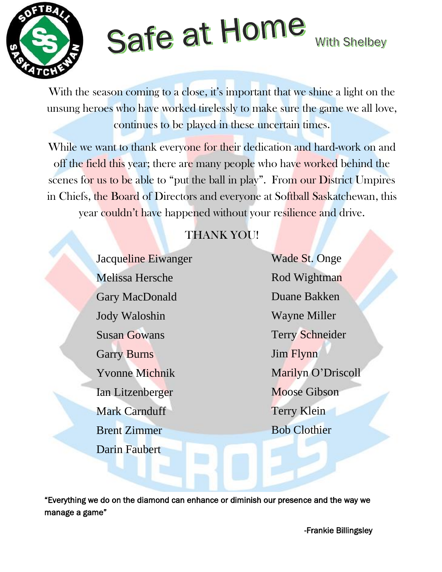

# Safe at Home

**With Shelbey** 

With the season coming to a close, it's important that we shine a light on the unsung heroes who have worked tirelessly to make sure the game we all love, continues to be played in these uncertain times.

While we want to thank everyone for their dedication and hard-work on and off the field this year; there are many people who have worked behind the scenes for us to be able to "put the ball in play". From our District Umpires in Chiefs, the Board of Directors and everyone at Softball Saskatchewan, this year couldn't have happened without your resilience and drive.

### THANK YOU!

Jacqueline Eiwanger Melissa Hersche Gary MacDonald Jody Waloshin Susan Gowans Garry Burns Yvonne Michnik Ian Litzenberger Mark Carnduff Brent Zimmer Darin Faubert

Wade St. Onge Rod Wightman Duane Bakken Wayne Miller Terry Schneider Jim Flynn Marilyn O'Driscoll Moose Gibson Terry Klein Bob Clothier

"Everything we do on the diamond can enhance or diminish our presence and the way we manage a game"

-Frankie Billingsley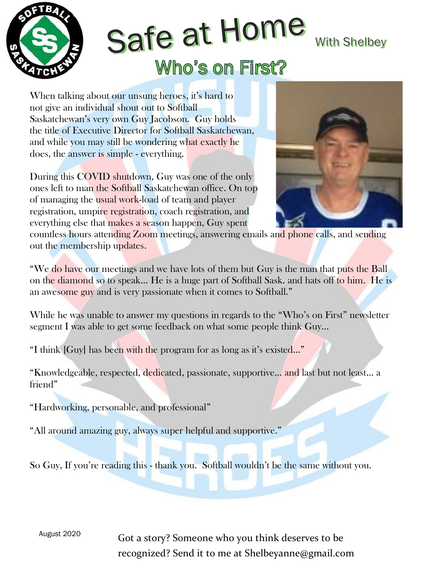

## Safe at Home **With Shelbey Who's on First?**

When talking about our unsung heroes, it's hard to not give an individual shout out to Softball Saskatchewan's very own Guy Jacobson. Guy holds the title of Executive Director for Softball Saskatchewan, and while you may still be wondering what exactly he does, the answer is simple - everything.

During this COVID shutdown, Guy was one of the only ones left to man the Softball Saskatchewan office. On top of managing the usual work-load of team and player registration, umpire registration, coach registration, and everything else that makes a season happen, Guy spent



countless hours attending Zoom meetings, answering emails and phone calls, and sending out the membership updates.

"We do have our meetings and we have lots of them but Guy is the man that puts the Ball on the diamond so to speak… He is a huge part of Softball Sask. and hats off to him. He is an awesome guy and is very passionate when it comes to Softball."

While he was unable to answer my questions in regards to the "Who's on First" newsletter segment I was able to get some feedback on what some people think Guy…

"I think [Guy] has been with the program for as long as it's existed…"

"Knowledgeable, respected, dedicated, passionate, supportive… and last but not least… a friend"

"Hardworking, personable, and professional"

"All around amazing guy, always super helpful and supportive."

So Guy, If you're reading this - thank you. Softball wouldn't be the same without you.

August <sup>2020</sup> Got a story? Someone who you think deserves to be recognized? Send it to me at Shelbeyanne@gmail.com